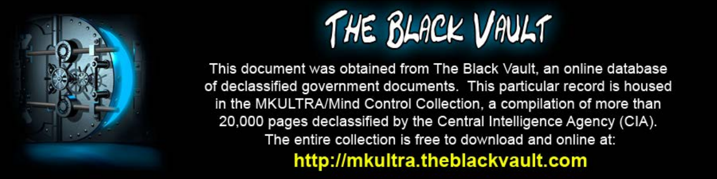

This document was obtained from The Black Vault, an online database of declassified government documents. This particular record is housed in the MKULTRA/Mind Control Collection, a compilation of more than 20,000 pages declassified by the Central Intelligence Agency (CIA). The entire collection is free to download and online at: http://mkultra.theblackvault.com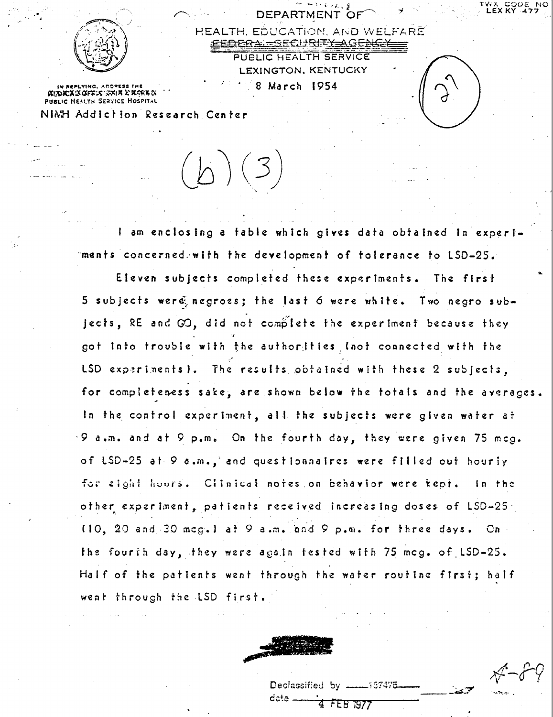

DEPARTMENT OF

HEALTH, EDUCATION, AND WELFARE <del>DEBA - SECURITY AGENCY</del> PUBLIC HEALTH SERVICE LEXINGTON, KENTUCKY 8 March 1954

KEDKXIS GFALS ISAIN XIARNIS **PUBLIC HEALTH SERVICE HOSPITAL** 

NIMH Addiction Research Center

I am enclosing a table which gives data obtained in experiments concerned with the development of tolerance to LSD-25.

 $(b)(3)$ 

Eleven subjects completed these experiments. The first 5 subjects were negroes; the last 6 were white. Two negro subjects, RE and GO, did not complete the experiment because they got into trouble with the authorities (not connected with the LSD experiments). The results obtained with these 2 subjects. for completeness sake, are shown below the totals and the averages. In the control experiment, all the subjects were given water at .9 a.m. and at 9 p.m. On the fourth day, they were given 75 mcg. of LSD-25 at 9 a.m., and questionnaires were filled out hourly for eight hours. Clinical notes on behavior were kept. In the other experiment, patients received increasing doses of LSD-25. (10, 20 and 30 mcg.) at 9 a.m. and 9 p.m. for three days. On the fourih day, they were again tested with 75 mcg. of LSD-25. Half of the patients went through the water routine first; half went through the LSD first.



Declassified by  $data =$ 4 FEB 1977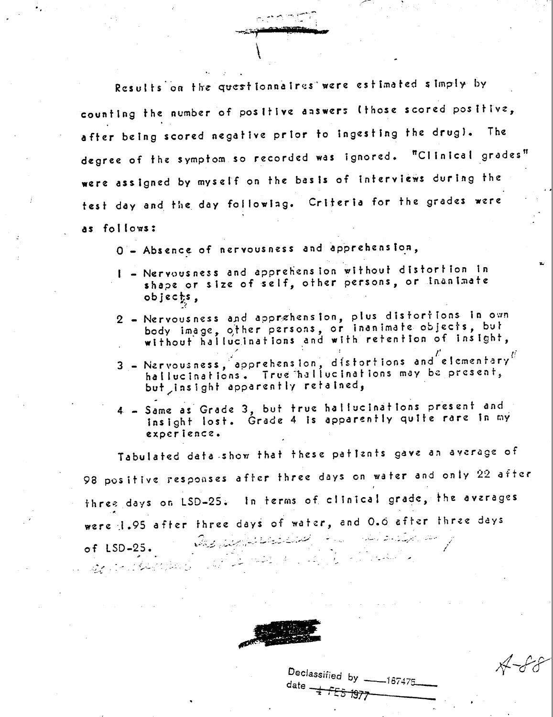Results on the questionnalres were estimated simply by counting the number of positive answers (those scored positive, after being scored negative prior to ingesting the drugl. The degree of the symptom so recorded was ignored. "Clinical grades" were assigned by myself on the basis of interviews during the test day and the day following. Criteria for the grades were as follows:

O - Absence of nervousness and apprehension,

- I Nervousness and apprehension without distortion in shape or size of self, other persons, or inanimate  $objects$ ,
- 2 Nervousness and apprehension, plus disfortions in own body image, other persons, or inanimate objects, but<br>without hallucinations and with retention of insight,
- $3$  Nervousness, apprehension, distortions and elementary hallucinations. True hallucinations may be present, but insight apparently retained,
- 4 Same as Grade 3, but true hallucinations present and insight lost. Grade 4 is apparently quite rare in my experience.

Tabulated data show that these patiznts gave an average of 98 positive responses after three days on water and only 22 after three days on LSD-25. In terms of clinical grade, the averages were 1.95 after three days of water, and 0.6 after three days and the proposed to the second of the second the selection of the of  $LSD-25$ . الا المستعملة في المركز المركز المركز التحت المركز المركز المركز المركز المركز المركز المركز المركز المركز الم



Declassified by \_  $-187475$ date + FES 1977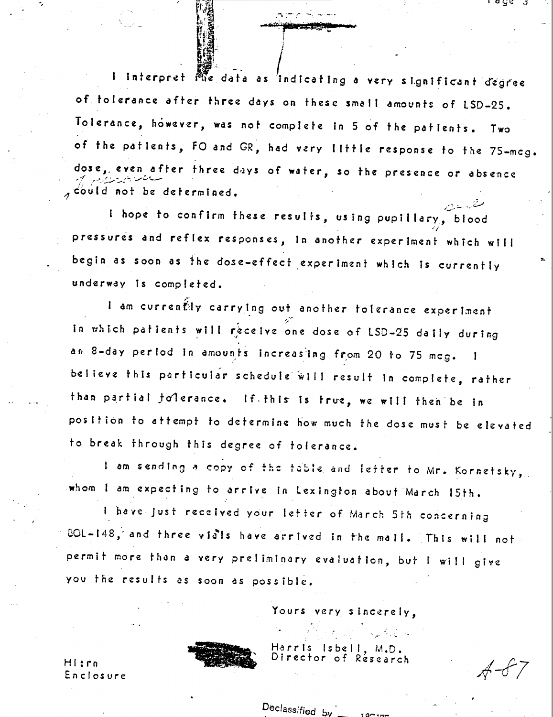I interpret Me data as 'indicating a very significant degree of tolerance after three days on these small amounts of LSD-25. Tolerance, however, was not complete in 5 of the patients. Two of the patients, FO and GR, had very little response to the 75-mcg. dose, even after three days of water, so the presence or absence could not be determined.

I hope to confirm these results, using pupillary, blood pressures and reflex responses, in another experiment which will begin as soon as the dose-effect experiment which is currently underway is completed.

I am currently carrying out another toferance experiment In which patients will receive one dose of LSD-25 daily during an 8-day period in amounts increasing from 20 to 75 mcg. believe this particular schedule will result in complete, rather than partial folerance. If this is true, we will then be in position to attempt to determine how much the dose must be elevated to break through this degree of tolerance.

I am sending a copy of the table and lefter to Mr. Kornetsky, whom I am expecting to arrive in Lexington about March 15th.

I have just received your letter of March 5th concerning BOL-148, and three visis have arrived in the mail. This will not permit more than a very preliminary evaluation, but I will give you the results as soon as possible.

Declassified by

Yours very sincerely,

Harris  $l$ s be Director of:

 $A - FZ$ 

ι ας ει σ

Hi:rn Enclosure